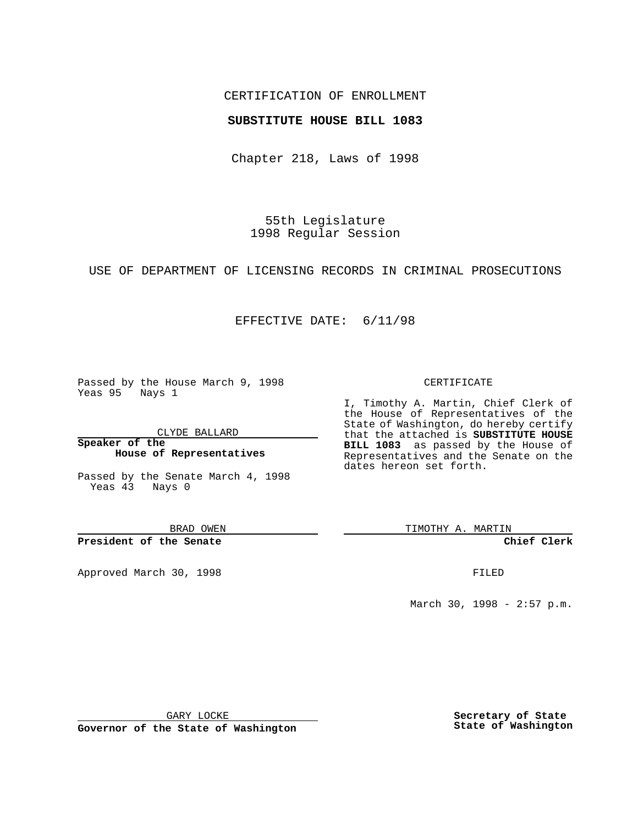## CERTIFICATION OF ENROLLMENT

### **SUBSTITUTE HOUSE BILL 1083**

Chapter 218, Laws of 1998

55th Legislature 1998 Regular Session

USE OF DEPARTMENT OF LICENSING RECORDS IN CRIMINAL PROSECUTIONS

## EFFECTIVE DATE: 6/11/98

Passed by the House March 9, 1998 Yeas 95 Nays 1

CLYDE BALLARD

**Speaker of the House of Representatives**

Passed by the Senate March 4, 1998 Yeas 43 Nays 0

BRAD OWEN

**President of the Senate**

Approved March 30, 1998 **FILED** 

#### CERTIFICATE

I, Timothy A. Martin, Chief Clerk of the House of Representatives of the State of Washington, do hereby certify that the attached is **SUBSTITUTE HOUSE BILL 1083** as passed by the House of Representatives and the Senate on the dates hereon set forth.

TIMOTHY A. MARTIN

**Chief Clerk**

March 30, 1998 - 2:57 p.m.

GARY LOCKE

**Governor of the State of Washington**

**Secretary of State State of Washington**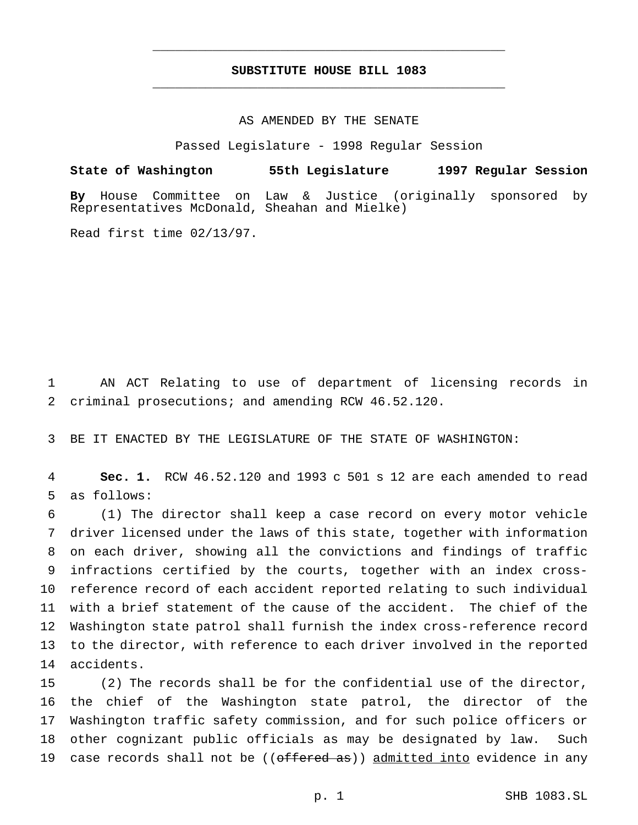# **SUBSTITUTE HOUSE BILL 1083** \_\_\_\_\_\_\_\_\_\_\_\_\_\_\_\_\_\_\_\_\_\_\_\_\_\_\_\_\_\_\_\_\_\_\_\_\_\_\_\_\_\_\_\_\_\_\_

\_\_\_\_\_\_\_\_\_\_\_\_\_\_\_\_\_\_\_\_\_\_\_\_\_\_\_\_\_\_\_\_\_\_\_\_\_\_\_\_\_\_\_\_\_\_\_

### AS AMENDED BY THE SENATE

Passed Legislature - 1998 Regular Session

**State of Washington 55th Legislature 1997 Regular Session By** House Committee on Law & Justice (originally sponsored by Representatives McDonald, Sheahan and Mielke)

Read first time 02/13/97.

 AN ACT Relating to use of department of licensing records in criminal prosecutions; and amending RCW 46.52.120.

BE IT ENACTED BY THE LEGISLATURE OF THE STATE OF WASHINGTON:

 **Sec. 1.** RCW 46.52.120 and 1993 c 501 s 12 are each amended to read as follows:

 (1) The director shall keep a case record on every motor vehicle driver licensed under the laws of this state, together with information on each driver, showing all the convictions and findings of traffic infractions certified by the courts, together with an index cross- reference record of each accident reported relating to such individual with a brief statement of the cause of the accident. The chief of the Washington state patrol shall furnish the index cross-reference record to the director, with reference to each driver involved in the reported accidents.

 (2) The records shall be for the confidential use of the director, the chief of the Washington state patrol, the director of the Washington traffic safety commission, and for such police officers or other cognizant public officials as may be designated by law. Such 19 case records shall not be ((offered as)) admitted into evidence in any